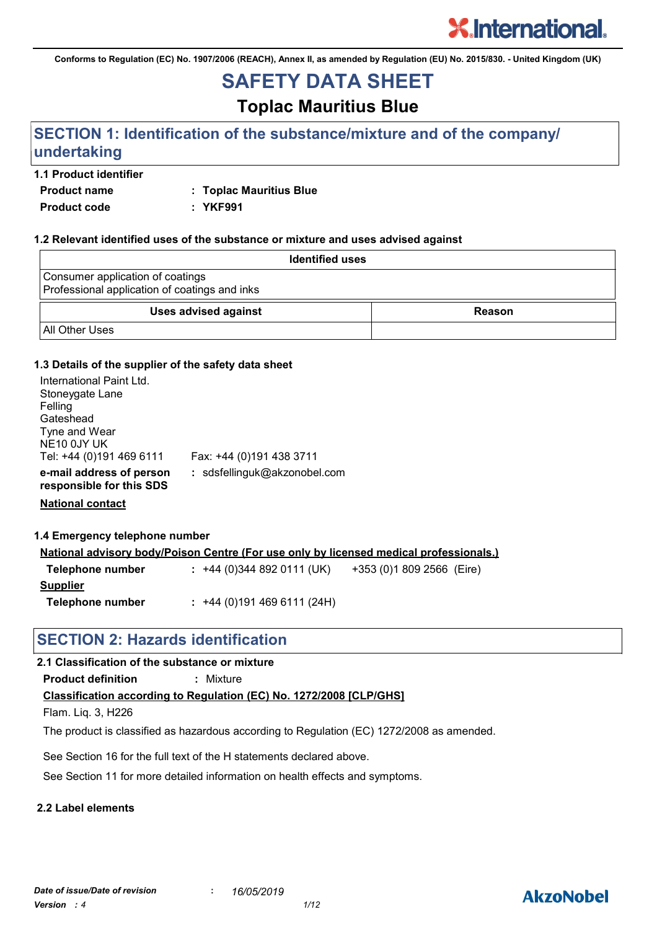**Conforms to Regulation (EC) No. 1907/2006 (REACH), Annex II, as amended by Regulation (EU) No. 2015/830. - United Kingdom (UK)**

# **SAFETY DATA SHEET**

**Toplac Mauritius Blue**

# **SECTION 1: Identification of the substance/mixture and of the company/ undertaking**

# **1.1 Product identifier**

**Product name : Toplac Mauritius Blue**

**Product code : YKF991**

## **1.2 Relevant identified uses of the substance or mixture and uses advised against**

| <b>Identified uses</b>                                                            |               |
|-----------------------------------------------------------------------------------|---------------|
| Consumer application of coatings<br>Professional application of coatings and inks |               |
| <b>Uses advised against</b>                                                       | <b>Reason</b> |
| <b>All Other Uses</b>                                                             |               |

## **1.3 Details of the supplier of the safety data sheet**

| International Paint Ltd.<br>Stoneygate Lane<br>Felling<br>Gateshead<br>Tyne and Wear<br>NE <sub>10</sub> 0JY UK<br>Tel: +44 (0)191 469 6111 | Fax: +44 (0)191 438 3711     |
|---------------------------------------------------------------------------------------------------------------------------------------------|------------------------------|
| e-mail address of person<br>responsible for this SDS                                                                                        | : sdsfellinguk@akzonobel.com |

**National contact**

**1.4 Emergency telephone number**

| <u>National advisory body/Poison Centre (For use only by licensed medical professionals.)</u> |  |                          |  |                           |  |  |
|-----------------------------------------------------------------------------------------------|--|--------------------------|--|---------------------------|--|--|
| Telephone number                                                                              |  | $: +44(0)3448920111(UK)$ |  | +353 (0)1 809 2566 (Eire) |  |  |
| <b>Supplier</b>                                                                               |  |                          |  |                           |  |  |

**Telephone number :** +44 (0)191 469 6111 (24H)

# **SECTION 2: Hazards identification**

# **2.1 Classification of the substance or mixture**

**Product definition :** Mixture

**Classification according to Regulation (EC) No. 1272/2008 [CLP/GHS]**

Flam. Liq. 3, H226

The product is classified as hazardous according to Regulation (EC) 1272/2008 as amended.

See Section 16 for the full text of the H statements declared above.

See Section 11 for more detailed information on health effects and symptoms.

# **2.2 Label elements**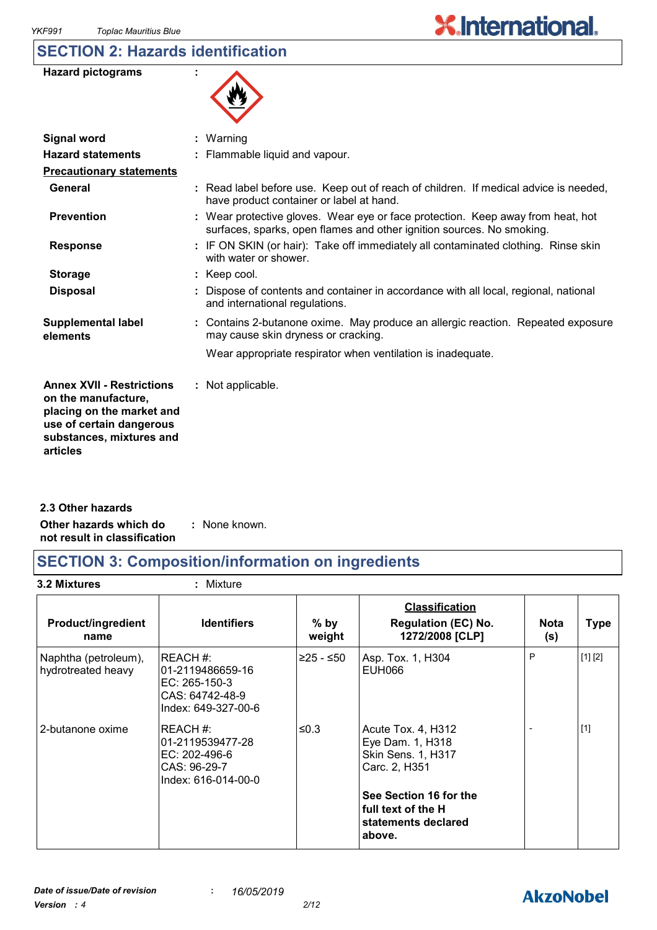# **SECTION 2: Hazards identification**

| <b>Hazard pictograms</b> |  |
|--------------------------|--|
|--------------------------|--|



| <b>Signal word</b>                                                                                                                                       | $:$ Warning                                                                                                                                              |
|----------------------------------------------------------------------------------------------------------------------------------------------------------|----------------------------------------------------------------------------------------------------------------------------------------------------------|
| <b>Hazard statements</b>                                                                                                                                 | : Flammable liquid and vapour.                                                                                                                           |
| <b>Precautionary statements</b>                                                                                                                          |                                                                                                                                                          |
| General                                                                                                                                                  | : Read label before use. Keep out of reach of children. If medical advice is needed,<br>have product container or label at hand.                         |
| <b>Prevention</b>                                                                                                                                        | : Wear protective gloves. Wear eye or face protection. Keep away from heat, hot<br>surfaces, sparks, open flames and other ignition sources. No smoking. |
| <b>Response</b>                                                                                                                                          | : IF ON SKIN (or hair): Take off immediately all contaminated clothing. Rinse skin<br>with water or shower.                                              |
| <b>Storage</b>                                                                                                                                           | $:$ Keep cool.                                                                                                                                           |
| <b>Disposal</b>                                                                                                                                          | : Dispose of contents and container in accordance with all local, regional, national<br>and international regulations.                                   |
| <b>Supplemental label</b><br>elements                                                                                                                    | : Contains 2-butanone oxime. May produce an allergic reaction. Repeated exposure<br>may cause skin dryness or cracking.                                  |
|                                                                                                                                                          | Wear appropriate respirator when ventilation is inadequate.                                                                                              |
| <b>Annex XVII - Restrictions</b><br>on the manufacture,<br>placing on the market and<br>use of certain dangerous<br>substances, mixtures and<br>articles | : Not applicable.                                                                                                                                        |
|                                                                                                                                                          |                                                                                                                                                          |

**Other hazards which do : not result in classification** : None known. **2.3 Other hazards**

# **SECTION 3: Composition/information on ingredients**

**3.2 Mixtures :** Mixture

| <b>Product/ingredient</b><br>name          | <b>Identifiers</b>                                                                      | $%$ by<br>weight | <b>Classification</b><br><b>Regulation (EC) No.</b><br>1272/2008 [CLP]          | <b>Nota</b><br>(s) | <b>Type</b> |
|--------------------------------------------|-----------------------------------------------------------------------------------------|------------------|---------------------------------------------------------------------------------|--------------------|-------------|
| Naphtha (petroleum),<br>hydrotreated heavy | REACH#:<br>l01-2119486659-16<br>EC: 265-150-3<br>CAS: 64742-48-9<br>Index: 649-327-00-6 | ≥25 - ≤50        | Asp. Tox. 1, H304<br>EUH066                                                     | P                  | [1] [2]     |
| 2-butanone oxime                           | REACH #:<br>01-2119539477-28<br>EC: 202-496-6<br>CAS: 96-29-7<br>Index: 616-014-00-0    | ≤0.3             | Acute Tox. 4, H312<br>Eye Dam. 1, H318<br>Skin Sens. 1, H317<br>Carc. 2, H351   |                    | $[1]$       |
|                                            |                                                                                         |                  | See Section 16 for the<br>l full text of the H<br>statements declared<br>above. |                    |             |

# **AkzoNobel**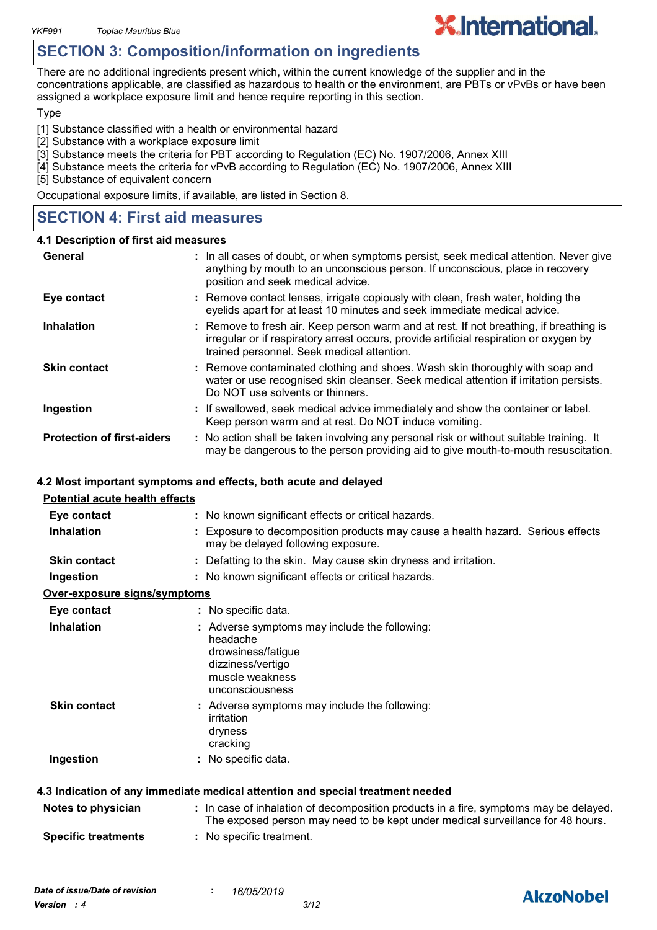# **SECTION 3: Composition/information on ingredients**

There are no additional ingredients present which, within the current knowledge of the supplier and in the concentrations applicable, are classified as hazardous to health or the environment, are PBTs or vPvBs or have been assigned a workplace exposure limit and hence require reporting in this section.

**X.International.** 

#### **Type**

[1] Substance classified with a health or environmental hazard

- [2] Substance with a workplace exposure limit
- [3] Substance meets the criteria for PBT according to Regulation (EC) No. 1907/2006, Annex XIII
- [4] Substance meets the criteria for vPvB according to Regulation (EC) No. 1907/2006, Annex XIII

[5] Substance of equivalent concern

Occupational exposure limits, if available, are listed in Section 8.

# **SECTION 4: First aid measures**

#### **4.1 Description of first aid measures**

| General                           | : In all cases of doubt, or when symptoms persist, seek medical attention. Never give<br>anything by mouth to an unconscious person. If unconscious, place in recovery<br>position and seek medical advice.                    |
|-----------------------------------|--------------------------------------------------------------------------------------------------------------------------------------------------------------------------------------------------------------------------------|
| Eye contact                       | : Remove contact lenses, irrigate copiously with clean, fresh water, holding the<br>eyelids apart for at least 10 minutes and seek immediate medical advice.                                                                   |
| <b>Inhalation</b>                 | : Remove to fresh air. Keep person warm and at rest. If not breathing, if breathing is<br>irregular or if respiratory arrest occurs, provide artificial respiration or oxygen by<br>trained personnel. Seek medical attention. |
| <b>Skin contact</b>               | : Remove contaminated clothing and shoes. Wash skin thoroughly with soap and<br>water or use recognised skin cleanser. Seek medical attention if irritation persists.<br>Do NOT use solvents or thinners.                      |
| Ingestion                         | : If swallowed, seek medical advice immediately and show the container or label.<br>Keep person warm and at rest. Do NOT induce vomiting.                                                                                      |
| <b>Protection of first-aiders</b> | : No action shall be taken involving any personal risk or without suitable training. It<br>may be dangerous to the person providing aid to give mouth-to-mouth resuscitation.                                                  |

#### **4.2 Most important symptoms and effects, both acute and delayed**

| <b>Potential acute health effects</b> |                                                                                                                                                                          |
|---------------------------------------|--------------------------------------------------------------------------------------------------------------------------------------------------------------------------|
| Eye contact                           | : No known significant effects or critical hazards.                                                                                                                      |
| <b>Inhalation</b>                     | : Exposure to decomposition products may cause a health hazard. Serious effects<br>may be delayed following exposure.                                                    |
| <b>Skin contact</b>                   | : Defatting to the skin. May cause skin dryness and irritation.                                                                                                          |
| Ingestion                             | : No known significant effects or critical hazards.                                                                                                                      |
| Over-exposure signs/symptoms          |                                                                                                                                                                          |
| Eye contact                           | : No specific data.                                                                                                                                                      |
| <b>Inhalation</b>                     | : Adverse symptoms may include the following:<br>headache<br>drowsiness/fatigue<br>dizziness/vertigo<br>muscle weakness<br>unconsciousness                               |
| <b>Skin contact</b>                   | : Adverse symptoms may include the following:<br>irritation<br>dryness<br>cracking                                                                                       |
| Ingestion                             | : No specific data.                                                                                                                                                      |
|                                       | 4.3 Indication of any immediate medical attention and special treatment needed                                                                                           |
| Notes to physician                    | : In case of inhalation of decomposition products in a fire, symptoms may be delayed.<br>The exposed person may need to be kept under medical surveillance for 48 hours. |
| <b>Specific treatments</b>            | : No specific treatment.                                                                                                                                                 |

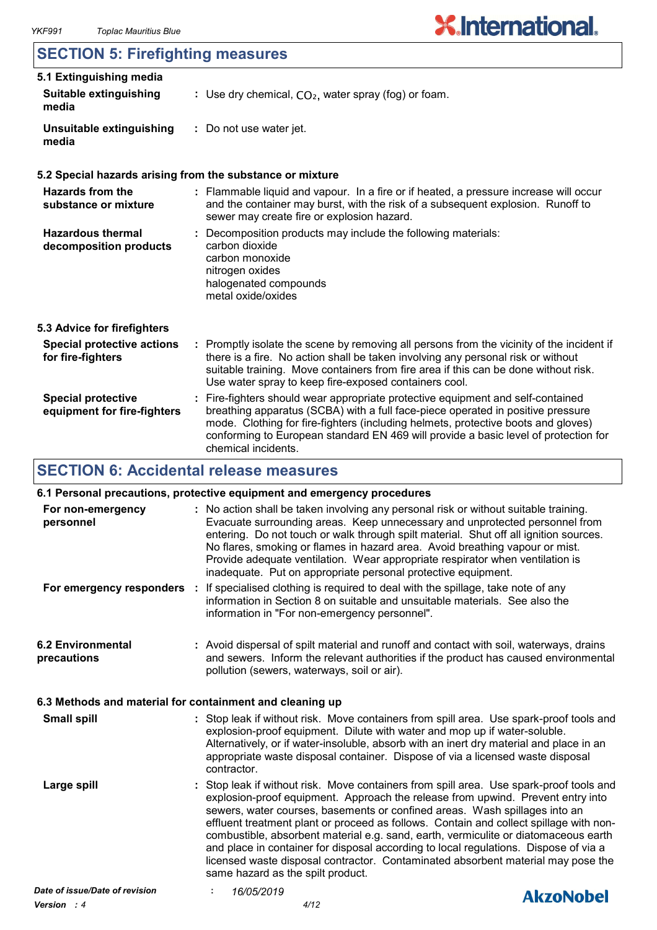# **SECTION 5: Firefighting measures**

| 5.1 Extinguishing media<br><b>Suitable extinguishing</b><br>media | : Use dry chemical, $CO2$ , water spray (fog) or foam.                                                                                                                                                                                                                                                                                                                |
|-------------------------------------------------------------------|-----------------------------------------------------------------------------------------------------------------------------------------------------------------------------------------------------------------------------------------------------------------------------------------------------------------------------------------------------------------------|
| Unsuitable extinguishing<br>media                                 | : Do not use water jet.                                                                                                                                                                                                                                                                                                                                               |
| 5.2 Special hazards arising from the substance or mixture         |                                                                                                                                                                                                                                                                                                                                                                       |
| <b>Hazards from the</b><br>substance or mixture                   | : Flammable liquid and vapour. In a fire or if heated, a pressure increase will occur<br>and the container may burst, with the risk of a subsequent explosion. Runoff to<br>sewer may create fire or explosion hazard.                                                                                                                                                |
| <b>Hazardous thermal</b><br>decomposition products                | : Decomposition products may include the following materials:<br>carbon dioxide<br>carbon monoxide<br>nitrogen oxides<br>halogenated compounds<br>metal oxide/oxides                                                                                                                                                                                                  |
| 5.3 Advice for firefighters                                       |                                                                                                                                                                                                                                                                                                                                                                       |
| <b>Special protective actions</b><br>for fire-fighters            | : Promptly isolate the scene by removing all persons from the vicinity of the incident if<br>there is a fire. No action shall be taken involving any personal risk or without<br>suitable training. Move containers from fire area if this can be done without risk.<br>Use water spray to keep fire-exposed containers cool.                                         |
| <b>Special protective</b><br>equipment for fire-fighters          | : Fire-fighters should wear appropriate protective equipment and self-contained<br>breathing apparatus (SCBA) with a full face-piece operated in positive pressure<br>mode. Clothing for fire-fighters (including helmets, protective boots and gloves)<br>conforming to European standard EN 469 will provide a basic level of protection for<br>chemical incidents. |

# **SECTION 6: Accidental release measures**

# **6.1 Personal precautions, protective equipment and emergency procedures**

| For non-emergency<br>personnel                           | inadequate. Put on appropriate personal protective equipment. | : No action shall be taken involving any personal risk or without suitable training.<br>Evacuate surrounding areas. Keep unnecessary and unprotected personnel from<br>entering. Do not touch or walk through spilt material. Shut off all ignition sources.<br>No flares, smoking or flames in hazard area. Avoid breathing vapour or mist.<br>Provide adequate ventilation. Wear appropriate respirator when ventilation is                                                                                                                                                                                         |
|----------------------------------------------------------|---------------------------------------------------------------|-----------------------------------------------------------------------------------------------------------------------------------------------------------------------------------------------------------------------------------------------------------------------------------------------------------------------------------------------------------------------------------------------------------------------------------------------------------------------------------------------------------------------------------------------------------------------------------------------------------------------|
|                                                          | information in "For non-emergency personnel".                 | For emergency responders : If specialised clothing is required to deal with the spillage, take note of any<br>information in Section 8 on suitable and unsuitable materials. See also the                                                                                                                                                                                                                                                                                                                                                                                                                             |
| <b>6.2 Environmental</b><br>precautions                  | pollution (sewers, waterways, soil or air).                   | : Avoid dispersal of spilt material and runoff and contact with soil, waterways, drains<br>and sewers. Inform the relevant authorities if the product has caused environmental                                                                                                                                                                                                                                                                                                                                                                                                                                        |
| 6.3 Methods and material for containment and cleaning up |                                                               |                                                                                                                                                                                                                                                                                                                                                                                                                                                                                                                                                                                                                       |
| <b>Small spill</b>                                       | contractor.                                                   | : Stop leak if without risk. Move containers from spill area. Use spark-proof tools and<br>explosion-proof equipment. Dilute with water and mop up if water-soluble.<br>Alternatively, or if water-insoluble, absorb with an inert dry material and place in an<br>appropriate waste disposal container. Dispose of via a licensed waste disposal                                                                                                                                                                                                                                                                     |
| Large spill                                              | same hazard as the spilt product.                             | : Stop leak if without risk. Move containers from spill area. Use spark-proof tools and<br>explosion-proof equipment. Approach the release from upwind. Prevent entry into<br>sewers, water courses, basements or confined areas. Wash spillages into an<br>effluent treatment plant or proceed as follows. Contain and collect spillage with non-<br>combustible, absorbent material e.g. sand, earth, vermiculite or diatomaceous earth<br>and place in container for disposal according to local regulations. Dispose of via a<br>licensed waste disposal contractor. Contaminated absorbent material may pose the |
| Date of issue/Date of revision                           | 16/05/2019                                                    | <b>AkzoNobel</b>                                                                                                                                                                                                                                                                                                                                                                                                                                                                                                                                                                                                      |
|                                                          |                                                               |                                                                                                                                                                                                                                                                                                                                                                                                                                                                                                                                                                                                                       |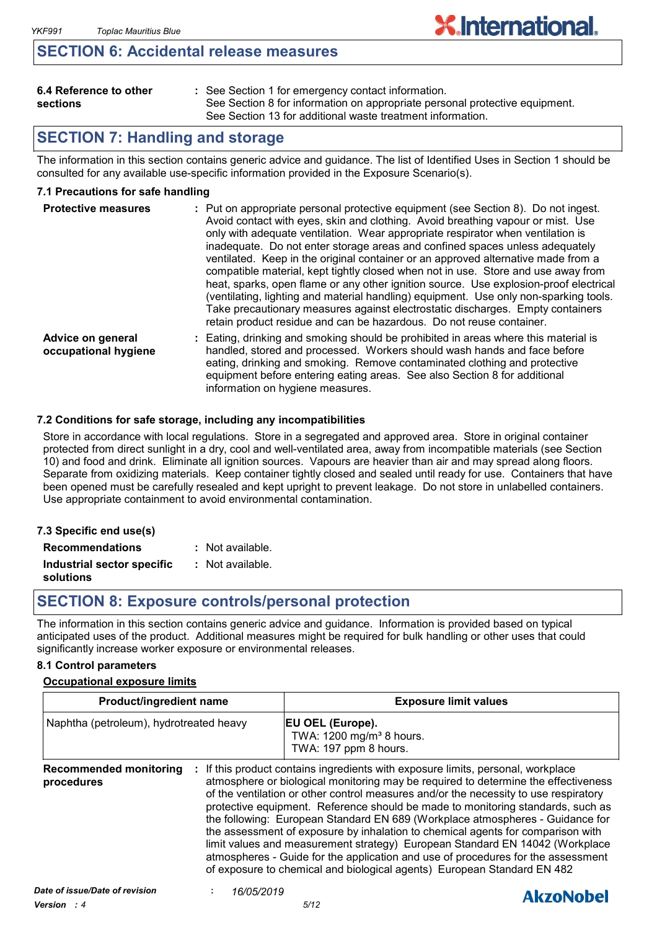# **SECTION 6: Accidental release measures**

| 6.4 Reference to other |  |
|------------------------|--|
| sections               |  |

See Section 1 for emergency contact information. **:** See Section 8 for information on appropriate personal protective equipment. See Section 13 for additional waste treatment information.

# **SECTION 7: Handling and storage**

The information in this section contains generic advice and guidance. The list of Identified Uses in Section 1 should be consulted for any available use-specific information provided in the Exposure Scenario(s).

## **7.1 Precautions for safe handling**

| <b>Protective measures</b>                | : Put on appropriate personal protective equipment (see Section 8). Do not ingest.<br>Avoid contact with eyes, skin and clothing. Avoid breathing vapour or mist. Use<br>only with adequate ventilation. Wear appropriate respirator when ventilation is<br>inadequate. Do not enter storage areas and confined spaces unless adequately<br>ventilated. Keep in the original container or an approved alternative made from a<br>compatible material, kept tightly closed when not in use. Store and use away from<br>heat, sparks, open flame or any other ignition source. Use explosion-proof electrical<br>(ventilating, lighting and material handling) equipment. Use only non-sparking tools.<br>Take precautionary measures against electrostatic discharges. Empty containers<br>retain product residue and can be hazardous. Do not reuse container. |
|-------------------------------------------|----------------------------------------------------------------------------------------------------------------------------------------------------------------------------------------------------------------------------------------------------------------------------------------------------------------------------------------------------------------------------------------------------------------------------------------------------------------------------------------------------------------------------------------------------------------------------------------------------------------------------------------------------------------------------------------------------------------------------------------------------------------------------------------------------------------------------------------------------------------|
| Advice on general<br>occupational hygiene | : Eating, drinking and smoking should be prohibited in areas where this material is<br>handled, stored and processed. Workers should wash hands and face before<br>eating, drinking and smoking. Remove contaminated clothing and protective<br>equipment before entering eating areas. See also Section 8 for additional<br>information on hygiene measures.                                                                                                                                                                                                                                                                                                                                                                                                                                                                                                  |

#### **7.2 Conditions for safe storage, including any incompatibilities**

Store in accordance with local regulations. Store in a segregated and approved area. Store in original container protected from direct sunlight in a dry, cool and well-ventilated area, away from incompatible materials (see Section 10) and food and drink. Eliminate all ignition sources. Vapours are heavier than air and may spread along floors. Separate from oxidizing materials. Keep container tightly closed and sealed until ready for use. Containers that have been opened must be carefully resealed and kept upright to prevent leakage. Do not store in unlabelled containers. Use appropriate containment to avoid environmental contamination.

| 7.3 Specific end use(s)    |                    |
|----------------------------|--------------------|
| <b>Recommendations</b>     | : Not available.   |
| Industrial sector specific | $:$ Not available. |
| solutions                  |                    |

*Version : 4 5/12*

# **SECTION 8: Exposure controls/personal protection**

The information in this section contains generic advice and guidance. Information is provided based on typical anticipated uses of the product. Additional measures might be required for bulk handling or other uses that could significantly increase worker exposure or environmental releases.

#### **8.1 Control parameters**

#### **Occupational exposure limits**

| <b>Product/ingredient name</b>              |            | <b>Exposure limit values</b>                                                                                                                                                                                                                                                                                                                                                                                                                                                                                                                                                                                                                                                                                                                                                                                                                                   |  |  |
|---------------------------------------------|------------|----------------------------------------------------------------------------------------------------------------------------------------------------------------------------------------------------------------------------------------------------------------------------------------------------------------------------------------------------------------------------------------------------------------------------------------------------------------------------------------------------------------------------------------------------------------------------------------------------------------------------------------------------------------------------------------------------------------------------------------------------------------------------------------------------------------------------------------------------------------|--|--|
| Naphtha (petroleum), hydrotreated heavy     |            | <b>EU OEL (Europe).</b><br>TWA: 1200 mg/m <sup>3</sup> 8 hours.<br>TWA: 197 ppm 8 hours.<br>If this product contains ingredients with exposure limits, personal, workplace<br>atmosphere or biological monitoring may be required to determine the effectiveness<br>of the ventilation or other control measures and/or the necessity to use respiratory<br>protective equipment. Reference should be made to monitoring standards, such as<br>the following: European Standard EN 689 (Workplace atmospheres - Guidance for<br>the assessment of exposure by inhalation to chemical agents for comparison with<br>limit values and measurement strategy) European Standard EN 14042 (Workplace<br>atmospheres - Guide for the application and use of procedures for the assessment<br>of exposure to chemical and biological agents) European Standard EN 482 |  |  |
| <b>Recommended monitoring</b><br>procedures | ÷.         |                                                                                                                                                                                                                                                                                                                                                                                                                                                                                                                                                                                                                                                                                                                                                                                                                                                                |  |  |
| Date of issue/Date of revision              | 16/05/2019 |                                                                                                                                                                                                                                                                                                                                                                                                                                                                                                                                                                                                                                                                                                                                                                                                                                                                |  |  |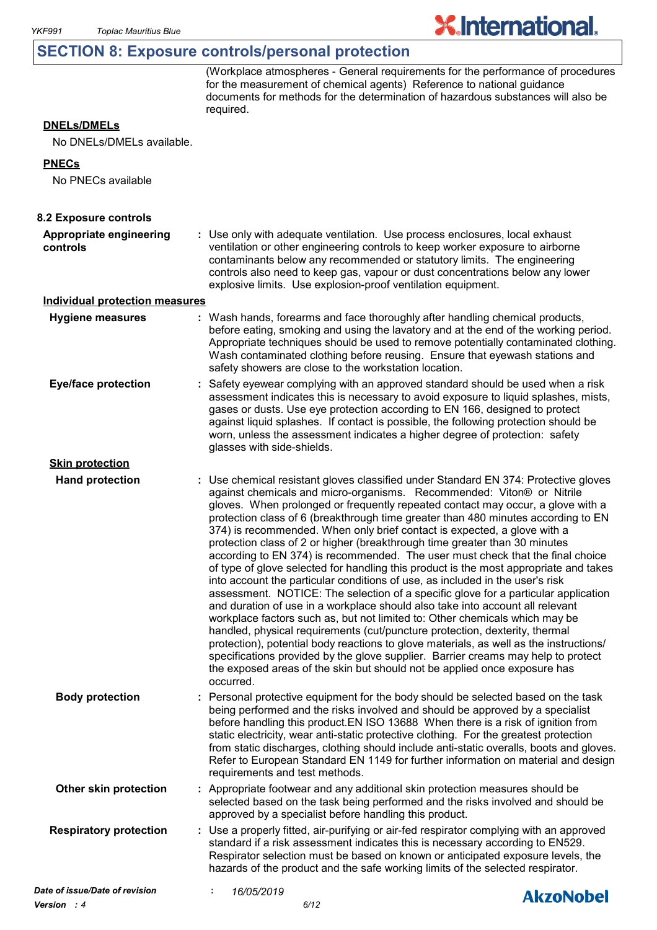# **SECTION 8: Exposure controls/personal protection**

(Workplace atmospheres - General requirements for the performance of procedures for the measurement of chemical agents) Reference to national guidance documents for methods for the determination of hazardous substances will also be required.

**X.International.** 

# **DNELs/DMELs**

No DNELs/DMELs available.

#### **PNECs**

No PNECs available

| 8.2 Exposure controls                 |                                                                                                                                                                                                                                                                                                                                                                                                                                                                                                                                                                                                                                                                                                                                                                                                                                                                                                                                                                                                                                                                                                                                                                                                                                                                                                                                                                          |
|---------------------------------------|--------------------------------------------------------------------------------------------------------------------------------------------------------------------------------------------------------------------------------------------------------------------------------------------------------------------------------------------------------------------------------------------------------------------------------------------------------------------------------------------------------------------------------------------------------------------------------------------------------------------------------------------------------------------------------------------------------------------------------------------------------------------------------------------------------------------------------------------------------------------------------------------------------------------------------------------------------------------------------------------------------------------------------------------------------------------------------------------------------------------------------------------------------------------------------------------------------------------------------------------------------------------------------------------------------------------------------------------------------------------------|
| Appropriate engineering<br>controls   | : Use only with adequate ventilation. Use process enclosures, local exhaust<br>ventilation or other engineering controls to keep worker exposure to airborne<br>contaminants below any recommended or statutory limits. The engineering<br>controls also need to keep gas, vapour or dust concentrations below any lower<br>explosive limits. Use explosion-proof ventilation equipment.                                                                                                                                                                                                                                                                                                                                                                                                                                                                                                                                                                                                                                                                                                                                                                                                                                                                                                                                                                                 |
| <b>Individual protection measures</b> |                                                                                                                                                                                                                                                                                                                                                                                                                                                                                                                                                                                                                                                                                                                                                                                                                                                                                                                                                                                                                                                                                                                                                                                                                                                                                                                                                                          |
| <b>Hygiene measures</b>               | : Wash hands, forearms and face thoroughly after handling chemical products,<br>before eating, smoking and using the lavatory and at the end of the working period.<br>Appropriate techniques should be used to remove potentially contaminated clothing.<br>Wash contaminated clothing before reusing. Ensure that eyewash stations and<br>safety showers are close to the workstation location.                                                                                                                                                                                                                                                                                                                                                                                                                                                                                                                                                                                                                                                                                                                                                                                                                                                                                                                                                                        |
| <b>Eye/face protection</b>            | Safety eyewear complying with an approved standard should be used when a risk<br>assessment indicates this is necessary to avoid exposure to liquid splashes, mists,<br>gases or dusts. Use eye protection according to EN 166, designed to protect<br>against liquid splashes. If contact is possible, the following protection should be<br>worn, unless the assessment indicates a higher degree of protection: safety<br>glasses with side-shields.                                                                                                                                                                                                                                                                                                                                                                                                                                                                                                                                                                                                                                                                                                                                                                                                                                                                                                                  |
| <b>Skin protection</b>                |                                                                                                                                                                                                                                                                                                                                                                                                                                                                                                                                                                                                                                                                                                                                                                                                                                                                                                                                                                                                                                                                                                                                                                                                                                                                                                                                                                          |
| <b>Hand protection</b>                | : Use chemical resistant gloves classified under Standard EN 374: Protective gloves<br>against chemicals and micro-organisms. Recommended: Viton® or Nitrile<br>gloves. When prolonged or frequently repeated contact may occur, a glove with a<br>protection class of 6 (breakthrough time greater than 480 minutes according to EN<br>374) is recommended. When only brief contact is expected, a glove with a<br>protection class of 2 or higher (breakthrough time greater than 30 minutes<br>according to EN 374) is recommended. The user must check that the final choice<br>of type of glove selected for handling this product is the most appropriate and takes<br>into account the particular conditions of use, as included in the user's risk<br>assessment. NOTICE: The selection of a specific glove for a particular application<br>and duration of use in a workplace should also take into account all relevant<br>workplace factors such as, but not limited to: Other chemicals which may be<br>handled, physical requirements (cut/puncture protection, dexterity, thermal<br>protection), potential body reactions to glove materials, as well as the instructions/<br>specifications provided by the glove supplier. Barrier creams may help to protect<br>the exposed areas of the skin but should not be applied once exposure has<br>occurred. |
| <b>Body protection</b>                | : Personal protective equipment for the body should be selected based on the task<br>being performed and the risks involved and should be approved by a specialist<br>before handling this product. EN ISO 13688 When there is a risk of ignition from<br>static electricity, wear anti-static protective clothing. For the greatest protection<br>from static discharges, clothing should include anti-static overalls, boots and gloves.<br>Refer to European Standard EN 1149 for further information on material and design<br>requirements and test methods.                                                                                                                                                                                                                                                                                                                                                                                                                                                                                                                                                                                                                                                                                                                                                                                                        |
| Other skin protection                 | : Appropriate footwear and any additional skin protection measures should be<br>selected based on the task being performed and the risks involved and should be<br>approved by a specialist before handling this product.                                                                                                                                                                                                                                                                                                                                                                                                                                                                                                                                                                                                                                                                                                                                                                                                                                                                                                                                                                                                                                                                                                                                                |
| <b>Respiratory protection</b>         | : Use a properly fitted, air-purifying or air-fed respirator complying with an approved<br>standard if a risk assessment indicates this is necessary according to EN529.<br>Respirator selection must be based on known or anticipated exposure levels, the<br>hazards of the product and the safe working limits of the selected respirator.                                                                                                                                                                                                                                                                                                                                                                                                                                                                                                                                                                                                                                                                                                                                                                                                                                                                                                                                                                                                                            |
| Date of issue/Date of revision        | 16/05/2019<br>÷<br><b>AkzoNobel</b>                                                                                                                                                                                                                                                                                                                                                                                                                                                                                                                                                                                                                                                                                                                                                                                                                                                                                                                                                                                                                                                                                                                                                                                                                                                                                                                                      |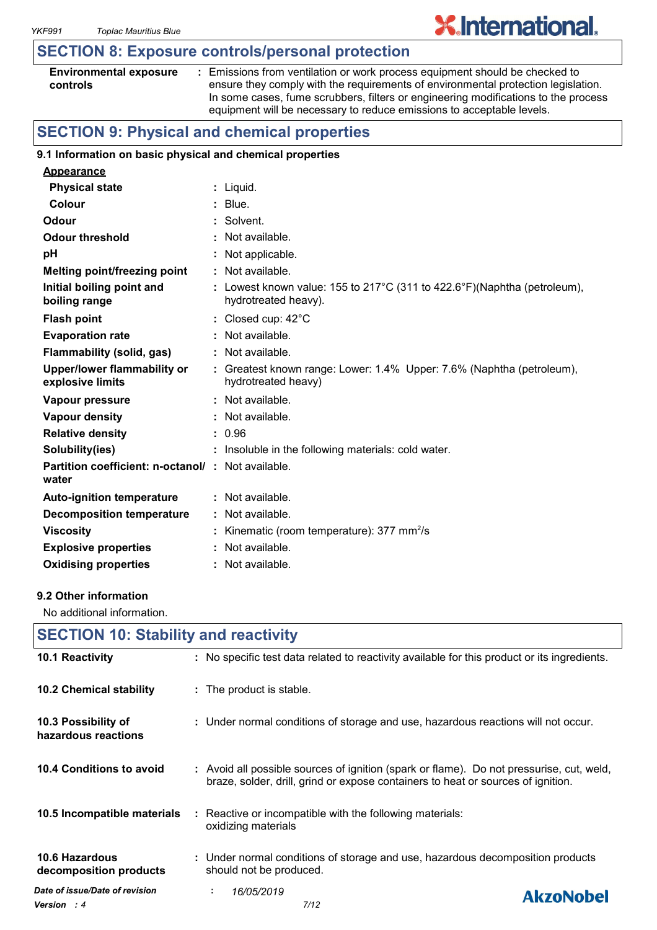# **SECTION 8: Exposure controls/personal protection**

| <b>Environmental exposure</b> |  |
|-------------------------------|--|
| controls                      |  |

**:** Emissions from ventilation or work process equipment should be checked to ensure they comply with the requirements of environmental protection legislation. In some cases, fume scrubbers, filters or engineering modifications to the process equipment will be necessary to reduce emissions to acceptable levels.

**X.International.** 

# **SECTION 9: Physical and chemical properties**

#### **9.1 Information on basic physical and chemical properties**

| <b>Appearance</b>                                                 |                                                                                                  |
|-------------------------------------------------------------------|--------------------------------------------------------------------------------------------------|
| <b>Physical state</b>                                             | : Liquid.                                                                                        |
| Colour                                                            | $:$ Blue.                                                                                        |
| Odour                                                             | : Solvent.                                                                                       |
| <b>Odour threshold</b>                                            | : Not available.                                                                                 |
| рH                                                                | : Not applicable.                                                                                |
| <b>Melting point/freezing point</b>                               | : Not available.                                                                                 |
| Initial boiling point and<br>boiling range                        | : Lowest known value: 155 to 217°C (311 to 422.6°F)(Naphtha (petroleum),<br>hydrotreated heavy). |
| <b>Flash point</b>                                                | : Closed cup: $42^{\circ}$ C                                                                     |
| <b>Evaporation rate</b>                                           | $:$ Not available.                                                                               |
| Flammability (solid, gas)                                         | : Not available.                                                                                 |
| <b>Upper/lower flammability or</b><br>explosive limits            | : Greatest known range: Lower: 1.4% Upper: 7.6% (Naphtha (petroleum),<br>hydrotreated heavy)     |
| Vapour pressure                                                   | : Not available.                                                                                 |
| Vapour density                                                    | : Not available.                                                                                 |
| <b>Relative density</b>                                           | : 0.96                                                                                           |
| Solubility(ies)                                                   | : Insoluble in the following materials: cold water.                                              |
| <b>Partition coefficient: n-octanol/: Not available.</b><br>water |                                                                                                  |
| <b>Auto-ignition temperature</b>                                  | $:$ Not available.                                                                               |
| <b>Decomposition temperature</b>                                  | : Not available.                                                                                 |
| <b>Viscosity</b>                                                  | : Kinematic (room temperature): $377 \text{ mm}^2/\text{s}$                                      |
| <b>Explosive properties</b>                                       | : Not available.                                                                                 |
| <b>Oxidising properties</b>                                       | : Not available.                                                                                 |

#### **9.2 Other information**

No additional information.

|                                               | <b>SECTION 10: Stability and reactivity</b>                                                                                                                                  |  |  |  |
|-----------------------------------------------|------------------------------------------------------------------------------------------------------------------------------------------------------------------------------|--|--|--|
| 10.1 Reactivity                               | : No specific test data related to reactivity available for this product or its ingredients.                                                                                 |  |  |  |
| <b>10.2 Chemical stability</b>                | : The product is stable.                                                                                                                                                     |  |  |  |
| 10.3 Possibility of<br>hazardous reactions    | : Under normal conditions of storage and use, hazardous reactions will not occur.                                                                                            |  |  |  |
| 10.4 Conditions to avoid                      | : Avoid all possible sources of ignition (spark or flame). Do not pressurise, cut, weld,<br>braze, solder, drill, grind or expose containers to heat or sources of ignition. |  |  |  |
| 10.5 Incompatible materials                   | : Reactive or incompatible with the following materials:<br>oxidizing materials                                                                                              |  |  |  |
| 10.6 Hazardous<br>decomposition products      | : Under normal conditions of storage and use, hazardous decomposition products<br>should not be produced.                                                                    |  |  |  |
| Date of issue/Date of revision<br>Version : 4 | 16/05/2019<br>÷.<br><b>AkzoNobel</b><br>7/12                                                                                                                                 |  |  |  |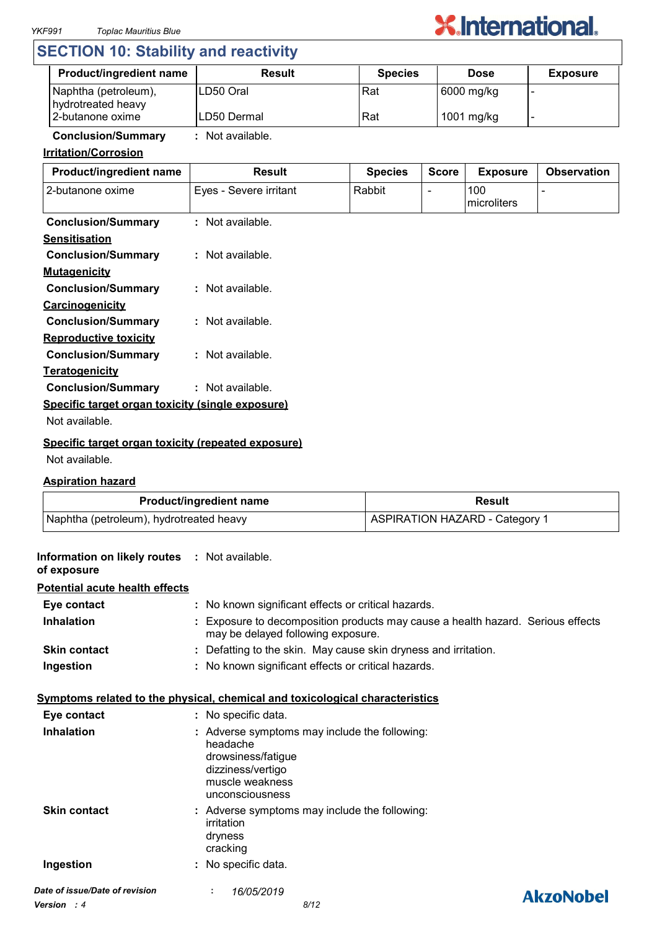

# **SECTION 10: Stability and reactivity**

| <b>Product/ingredient name</b>             | <b>Result</b> | <b>Species</b> | <b>Dose</b> | <b>Exposure</b> |
|--------------------------------------------|---------------|----------------|-------------|-----------------|
| Naphtha (petroleum),<br>hydrotreated heavy | ILD50 Oral    | Rat            | 6000 mg/kg  |                 |
| 2-butanone oxime                           | ILD50 Dermal  | Rat            | 1001 mg/kg  |                 |

# **Conclusion/Summary :** Not available.

# **Irritation/Corrosion**

| Product/ingredient name                            | <b>Result</b>          | <b>Species</b> | <b>Score</b> | <b>Exposure</b>    | <b>Observation</b> |
|----------------------------------------------------|------------------------|----------------|--------------|--------------------|--------------------|
| 2-butanone oxime                                   | Eyes - Severe irritant | Rabbit         |              | 100<br>microliters |                    |
| <b>Conclusion/Summary</b>                          | : Not available.       |                |              |                    |                    |
| <b>Sensitisation</b>                               |                        |                |              |                    |                    |
| <b>Conclusion/Summary</b>                          | : Not available.       |                |              |                    |                    |
| <b>Mutagenicity</b>                                |                        |                |              |                    |                    |
| <b>Conclusion/Summary</b>                          | : Not available.       |                |              |                    |                    |
| <b>Carcinogenicity</b>                             |                        |                |              |                    |                    |
| <b>Conclusion/Summary</b>                          | : Not available.       |                |              |                    |                    |
| <b>Reproductive toxicity</b>                       |                        |                |              |                    |                    |
| <b>Conclusion/Summary</b>                          | : Not available.       |                |              |                    |                    |
| <b>Teratogenicity</b>                              |                        |                |              |                    |                    |
| <b>Conclusion/Summary</b>                          | : Not available.       |                |              |                    |                    |
| Specific target organ toxicity (single exposure)   |                        |                |              |                    |                    |
| Not available.                                     |                        |                |              |                    |                    |
| Cusaifis taxaat axaan taylaitu (xanaatad aynaayya) |                        |                |              |                    |                    |

# **Specific target organ toxicity (repeated exposure)**

Not available.

## **Aspiration hazard**

| <b>Product/ingredient name</b>          | Result                                |
|-----------------------------------------|---------------------------------------|
| Naphtha (petroleum), hydrotreated heavy | <b>ASPIRATION HAZARD - Category 1</b> |

| Information on likely routes : Not available.<br>of exposure |                                                                                                                                            |                  |
|--------------------------------------------------------------|--------------------------------------------------------------------------------------------------------------------------------------------|------------------|
| <b>Potential acute health effects</b>                        |                                                                                                                                            |                  |
| Eye contact                                                  | : No known significant effects or critical hazards.                                                                                        |                  |
| <b>Inhalation</b>                                            | Exposure to decomposition products may cause a health hazard. Serious effects<br>may be delayed following exposure.                        |                  |
| <b>Skin contact</b>                                          | : Defatting to the skin. May cause skin dryness and irritation.                                                                            |                  |
| Ingestion                                                    | : No known significant effects or critical hazards.                                                                                        |                  |
|                                                              | <u>Symptoms related to the physical, chemical and toxicological characteristics</u>                                                        |                  |
| Eye contact                                                  | : No specific data.                                                                                                                        |                  |
| <b>Inhalation</b>                                            | : Adverse symptoms may include the following:<br>headache<br>drowsiness/fatigue<br>dizziness/vertigo<br>muscle weakness<br>unconsciousness |                  |
| <b>Skin contact</b>                                          | : Adverse symptoms may include the following:<br>irritation<br>dryness<br>cracking                                                         |                  |
| Ingestion                                                    | : No specific data.                                                                                                                        |                  |
| Date of issue/Date of revision                               | 16/05/2019                                                                                                                                 | <b>AkzoNobel</b> |
| <b>Version</b> : 4                                           | 8/12                                                                                                                                       |                  |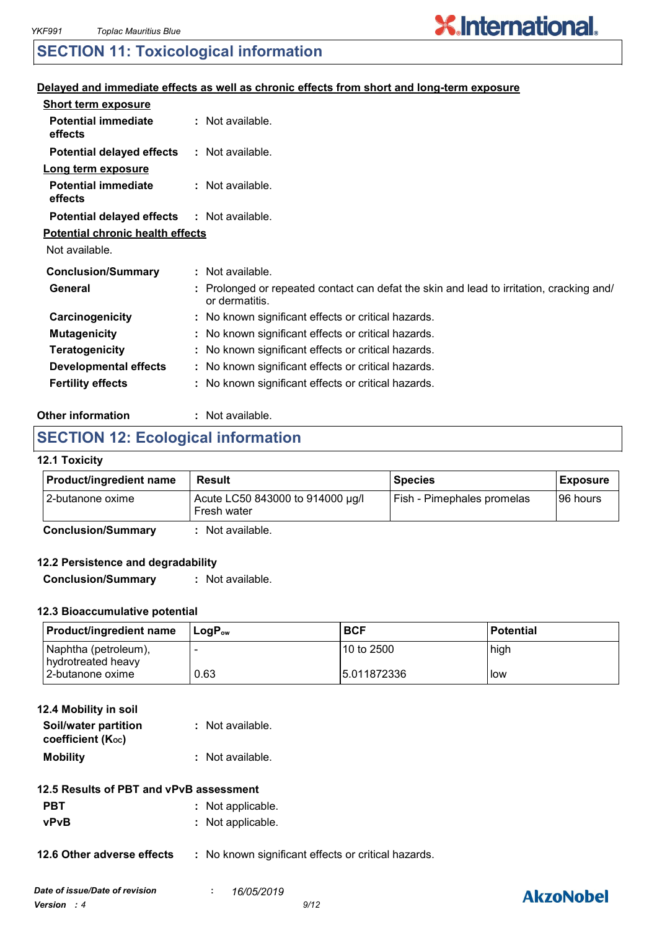# **X.International.**

# **SECTION 11: Toxicological information**

### **Delayed and immediate effects as well as chronic effects from short and long-term exposure**

| <b>Short term exposure</b>              |                                                                                                            |
|-----------------------------------------|------------------------------------------------------------------------------------------------------------|
| <b>Potential immediate</b><br>effects   | : Not available.                                                                                           |
| <b>Potential delayed effects</b>        | : Not available.                                                                                           |
| Long term exposure                      |                                                                                                            |
| <b>Potential immediate</b><br>effects   | : Not available.                                                                                           |
| <b>Potential delayed effects</b>        | : Not available.                                                                                           |
| <b>Potential chronic health effects</b> |                                                                                                            |
| Not available.                          |                                                                                                            |
| <b>Conclusion/Summary</b>               | : Not available.                                                                                           |
| General                                 | : Prolonged or repeated contact can defat the skin and lead to irritation, cracking and/<br>or dermatitis. |
| Carcinogenicity                         | : No known significant effects or critical hazards.                                                        |
| <b>Mutagenicity</b>                     | : No known significant effects or critical hazards.                                                        |
| <b>Teratogenicity</b>                   | : No known significant effects or critical hazards.                                                        |
| <b>Developmental effects</b>            | : No known significant effects or critical hazards.                                                        |
| <b>Fertility effects</b>                | : No known significant effects or critical hazards.                                                        |

#### **Other information :** : Not available.

# **SECTION 12: Ecological information**

#### **12.1 Toxicity**

| Acute LC50 843000 to 914000 µg/l<br>Fish - Pimephales promelas<br>I96 hours<br><b>Fresh water</b> | <b>Product/ingredient name</b> | Result | <b>Species</b> | <b>Exposure</b> |
|---------------------------------------------------------------------------------------------------|--------------------------------|--------|----------------|-----------------|
|                                                                                                   | 12-butanone oxime              |        |                |                 |

**Conclusion/Summary :** Not available.

#### **12.2 Persistence and degradability**

**Conclusion/Summary :** Not available.

# **12.3 Bioaccumulative potential**

| <b>Product/ingredient name</b>             | ⊺LoɑP <sub>∾w</sub> | <b>BCF</b>   | <b>Potential</b> |
|--------------------------------------------|---------------------|--------------|------------------|
| Naphtha (petroleum),<br>hydrotreated heavy |                     | 10 to 2500   | high             |
| 2-butanone oxime                           | 0.63                | 15.011872336 | low              |

| 12.4 Mobility in soil |                  |
|-----------------------|------------------|
| Soil/water partition  | : Not available. |
| coefficient (Koc)     |                  |
| <b>Mobility</b>       | : Not available. |

- **PBT** : Not applicable.
- **vPvB :** Not applicable.

**12.6 Other adverse effects** : No known significant effects or critical hazards.

# **AkzoNobel**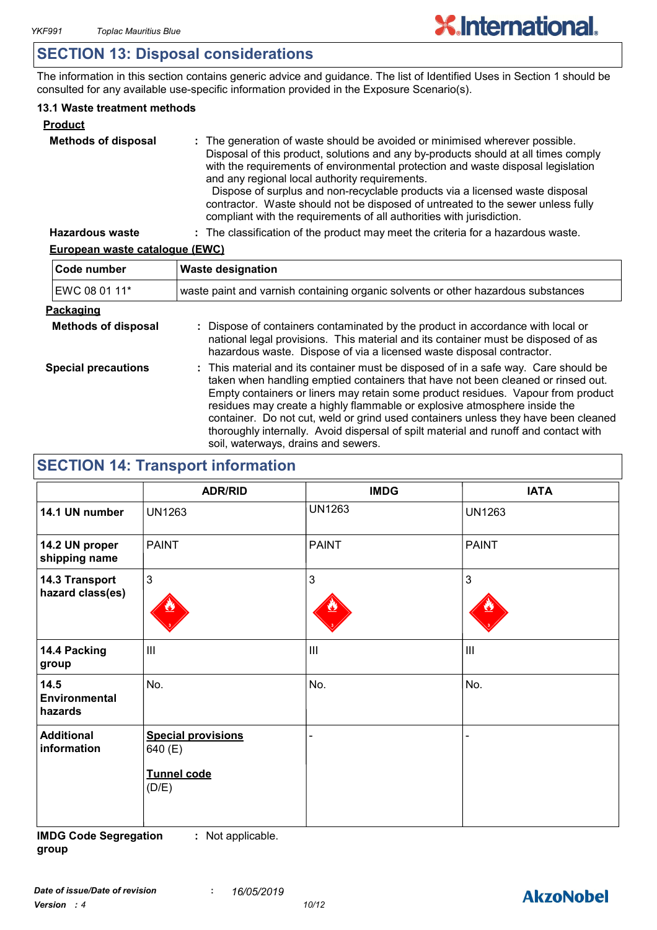# **SECTION 13: Disposal considerations**

The information in this section contains generic advice and guidance. The list of Identified Uses in Section 1 should be consulted for any available use-specific information provided in the Exposure Scenario(s).

## **13.1 Waste treatment methods**

| <b>Product</b>             |                                                                                                                                                                                                                                                                                                                                                                                                                                                                                                                                                     |
|----------------------------|-----------------------------------------------------------------------------------------------------------------------------------------------------------------------------------------------------------------------------------------------------------------------------------------------------------------------------------------------------------------------------------------------------------------------------------------------------------------------------------------------------------------------------------------------------|
| <b>Methods of disposal</b> | : The generation of waste should be avoided or minimised wherever possible.<br>Disposal of this product, solutions and any by-products should at all times comply<br>with the requirements of environmental protection and waste disposal legislation<br>and any regional local authority requirements.<br>Dispose of surplus and non-recyclable products via a licensed waste disposal<br>contractor. Waste should not be disposed of untreated to the sewer unless fully<br>compliant with the requirements of all authorities with jurisdiction. |
| <b>Hazardous waste</b>     | : The classification of the product may meet the criteria for a hazardous waste.                                                                                                                                                                                                                                                                                                                                                                                                                                                                    |

# **European waste catalogue (EWC)**

| Code number                | <b>Waste designation</b>                                                                                                                                                                                                                                                                                                                                                                                                                                                                                                                                      |  |  |
|----------------------------|---------------------------------------------------------------------------------------------------------------------------------------------------------------------------------------------------------------------------------------------------------------------------------------------------------------------------------------------------------------------------------------------------------------------------------------------------------------------------------------------------------------------------------------------------------------|--|--|
| EWC 08 01 11*              | waste paint and varnish containing organic solvents or other hazardous substances                                                                                                                                                                                                                                                                                                                                                                                                                                                                             |  |  |
| <b>Packaging</b>           |                                                                                                                                                                                                                                                                                                                                                                                                                                                                                                                                                               |  |  |
| <b>Methods of disposal</b> | : Dispose of containers contaminated by the product in accordance with local or<br>national legal provisions. This material and its container must be disposed of as<br>hazardous waste. Dispose of via a licensed waste disposal contractor.                                                                                                                                                                                                                                                                                                                 |  |  |
| <b>Special precautions</b> | : This material and its container must be disposed of in a safe way. Care should be<br>taken when handling emptied containers that have not been cleaned or rinsed out.<br>Empty containers or liners may retain some product residues. Vapour from product<br>residues may create a highly flammable or explosive atmosphere inside the<br>container. Do not cut, weld or grind used containers unless they have been cleaned<br>thoroughly internally. Avoid dispersal of spilt material and runoff and contact with<br>soil, waterways, drains and sewers. |  |  |

# **SECTION 14: Transport information**

|                                         | <b>ADR/RID</b>                                               | <b>IMDG</b>                           | <b>IATA</b>        |
|-----------------------------------------|--------------------------------------------------------------|---------------------------------------|--------------------|
| 14.1 UN number                          | <b>UN1263</b>                                                | <b>UN1263</b>                         | <b>UN1263</b>      |
| 14.2 UN proper<br>shipping name         | <b>PAINT</b>                                                 | <b>PAINT</b>                          | PAINT              |
| 14.3 Transport<br>hazard class(es)      | $\mathbf{3}$                                                 | 3                                     | $\mathbf{3}$       |
| 14.4 Packing<br>group                   | $\mathbf{III}$                                               | $\begin{array}{c} \hline \end{array}$ | $\mathop{\rm III}$ |
| 14.5<br><b>Environmental</b><br>hazards | No.                                                          | No.                                   | No.                |
| <b>Additional</b><br>information        | <b>Special provisions</b><br>640 (E)<br>Tunnel code<br>(D/E) |                                       |                    |

**IMDG Code Segregation group :** Not applicable.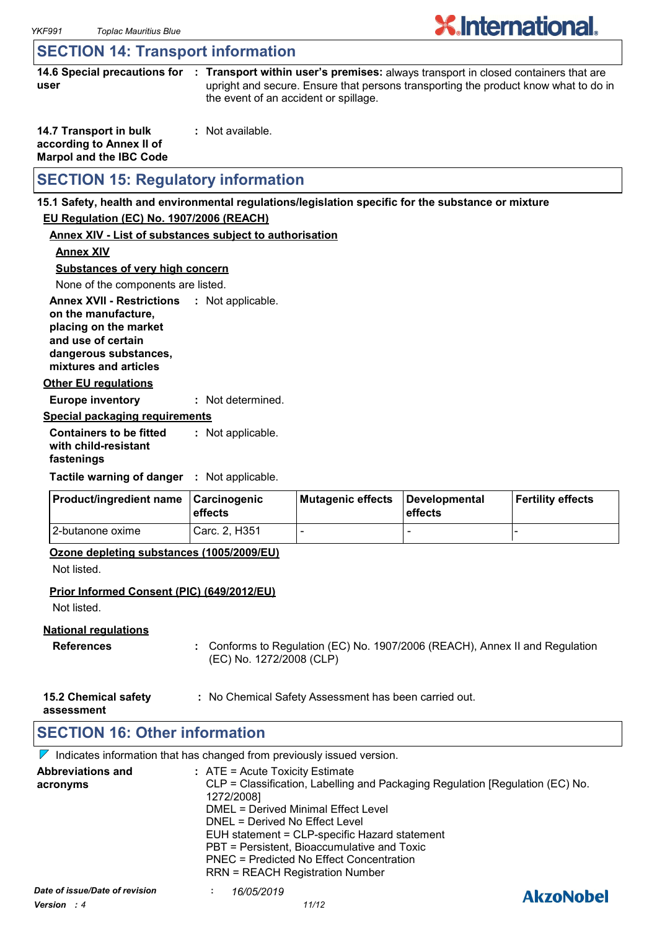# **SECTION 14: Transport information**

|      | 14.6 Special precautions for : Transport within user's premises: always transport in closed containers that are |
|------|-----------------------------------------------------------------------------------------------------------------|
| user | upright and secure. Ensure that persons transporting the product know what to do in                             |
|      | the event of an accident or spillage.                                                                           |

**X.International.** 

| 14.7 Transport in bulk         | : Not available. |
|--------------------------------|------------------|
| according to Annex II of       |                  |
| <b>Marpol and the IBC Code</b> |                  |

# **SECTION 15: Regulatory information**

#### **15.1 Safety, health and environmental regulations/legislation specific for the substance or mixture**

#### **EU Regulation (EC) No. 1907/2006 (REACH)**

#### **Annex XIV - List of substances subject to authorisation**

**Annex XIV**

#### **Substances of very high concern**

None of the components are listed.

**Annex XVII - Restrictions : Not applicable. on the manufacture, placing on the market** 

**and use of certain** 

**dangerous substances, mixtures and articles**

**Other EU regulations**

**Europe inventory :** Not determined.

#### **Special packaging requirements**

**Containers to be fitted with child-resistant fastenings** Not applicable. **:**

**Tactile warning of danger : Not applicable.** 

| <b>Product/ingredient name</b> | ∣Carcinoɑenic<br><b>leffects</b> | Mutagenic effects | <b>I</b> Developmental<br>effects | <b>Fertility effects</b> |  |
|--------------------------------|----------------------------------|-------------------|-----------------------------------|--------------------------|--|
| 12-butanone oxime              | Carc. 2. H351                    |                   | -                                 |                          |  |

#### **Ozone depleting substances (1005/2009/EU)**

Not listed.

#### **Prior Informed Consent (PIC) (649/2012/EU)**

Not listed.

#### **National regulations**

- **References :** Conforms to Regulation (EC) No. 1907/2006 (REACH), Annex II and Regulation (EC) No. 1272/2008 (CLP)
- **15.2 Chemical safety :** No Chemical Safety Assessment has been carried out.

**assessment**

# **SECTION 16: Other information**

 $\nabla$  Indicates information that has changed from previously issued version.

| <b>Abbreviations and</b><br>acronyms            | : ATE = Acute Toxicity Estimate<br>CLP = Classification, Labelling and Packaging Regulation [Regulation (EC) No.<br>1272/2008]<br>DMEL = Derived Minimal Effect Level<br>DNEL = Derived No Effect Level<br>EUH statement = CLP-specific Hazard statement<br>PBT = Persistent, Bioaccumulative and Toxic<br>PNEC = Predicted No Effect Concentration<br><b>RRN = REACH Registration Number</b> |                  |
|-------------------------------------------------|-----------------------------------------------------------------------------------------------------------------------------------------------------------------------------------------------------------------------------------------------------------------------------------------------------------------------------------------------------------------------------------------------|------------------|
| Date of issue/Date of revision<br>Version $: 4$ | 16/05/2019<br>11/12                                                                                                                                                                                                                                                                                                                                                                           | <b>AkzoNobel</b> |